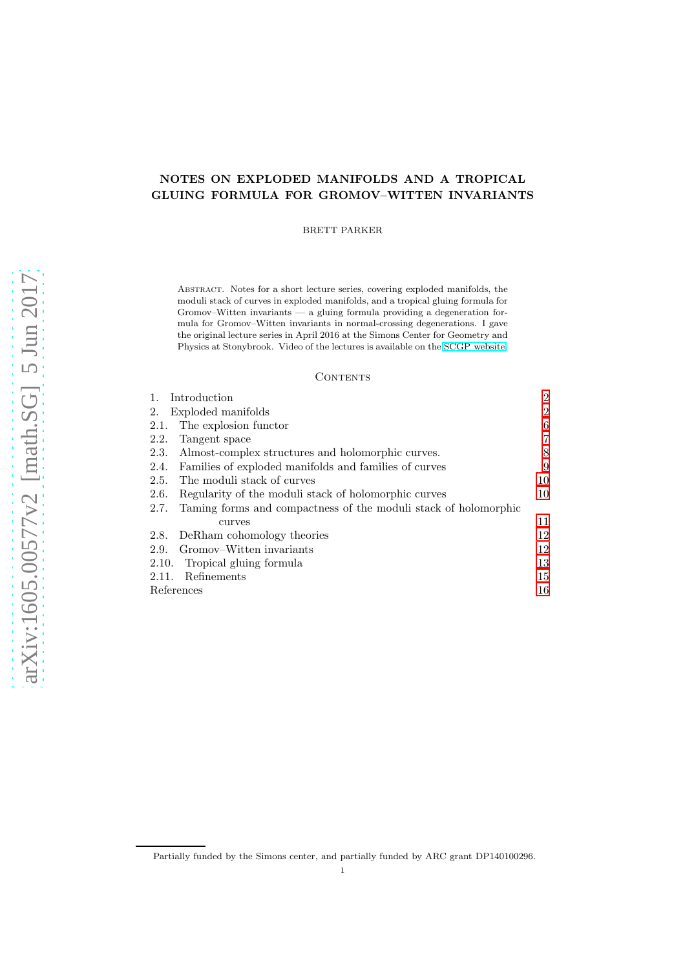## NOTES ON EXPLODED MANIFOLDS AND A TROPICAL GLUING FORMULA FOR GROMOV–WITTEN INVARIANTS

BRETT PARKER

Abstract. Notes for a short lecture series, covering exploded manifolds, the moduli stack of curves in exploded manifolds, and a tropical gluing formula for Gromov–Witten invariants — a gluing formula providing a degeneration formula for Gromov–Witten invariants in normal-crossing degenerations. I gave the original lecture series in April 2016 at the Simons Center for Geometry and Physics at Stonybrook. Video of the lectures is available on the [SCGP website.](http://scgp.stonybrook.edu/video_portal/video.php?id=2595)

#### CONTENTS

| Introduction                                                            | $\overline{2}$ |
|-------------------------------------------------------------------------|----------------|
| Exploded manifolds<br>2.                                                | $\overline{2}$ |
| The explosion functor<br>2.1.                                           | 6              |
| Tangent space<br>2.2.                                                   | 7              |
| Almost-complex structures and holomorphic curves.<br>2.3.               | 8              |
| Families of exploded manifolds and families of curves<br>2.4.           | 9              |
| The moduli stack of curves<br>2.5.                                      | 10             |
| Regularity of the moduli stack of holomorphic curves<br>2.6.            | 10             |
| Taming forms and compactness of the moduli stack of holomorphic<br>2.7. |                |
| curves                                                                  | 11             |
| DeRham cohomology theories<br>2.8.                                      | 12             |
| Gromov–Witten invariants<br>2.9.                                        | 12             |
| Tropical gluing formula<br>2.10.                                        | 13             |
| Refinements<br>2.11.                                                    | 15             |
| References                                                              | 16             |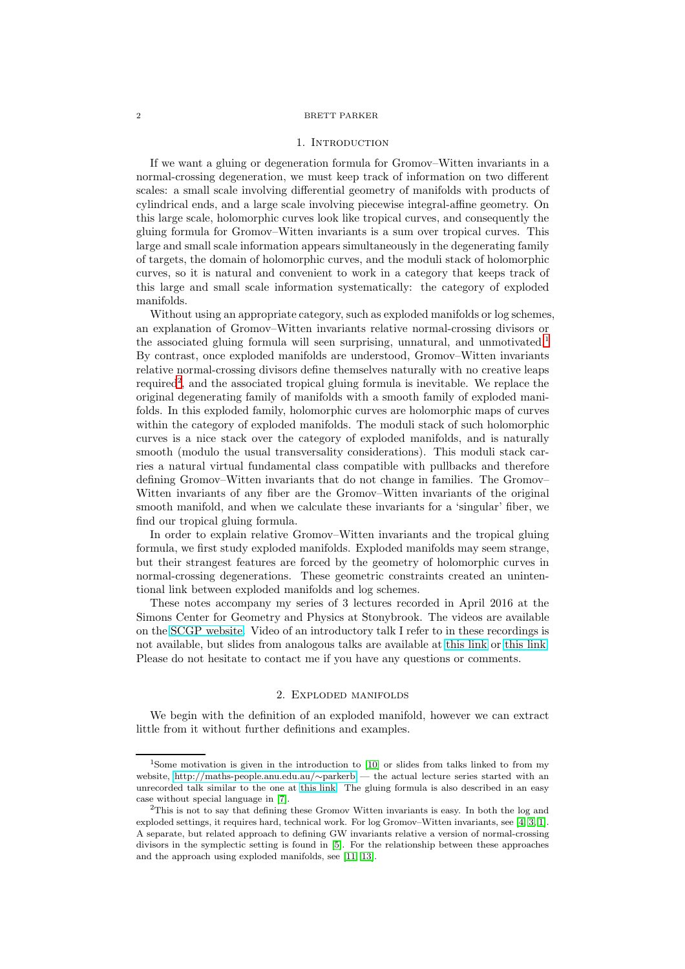#### 1. INTRODUCTION

<span id="page-1-0"></span>If we want a gluing or degeneration formula for Gromov–Witten invariants in a normal-crossing degeneration, we must keep track of information on two different scales: a small scale involving differential geometry of manifolds with products of cylindrical ends, and a large scale involving piecewise integral-affine geometry. On this large scale, holomorphic curves look like tropical curves, and consequently the gluing formula for Gromov–Witten invariants is a sum over tropical curves. This large and small scale information appears simultaneously in the degenerating family of targets, the domain of holomorphic curves, and the moduli stack of holomorphic curves, so it is natural and convenient to work in a category that keeps track of this large and small scale information systematically: the category of exploded manifolds.

Without using an appropriate category, such as exploded manifolds or log schemes, an explanation of Gromov–Witten invariants relative normal-crossing divisors or the associated gluing formula will seen surprising, unnatural, and unmotivated.<sup>[1](#page-1-2)</sup> By contrast, once exploded manifolds are understood, Gromov–Witten invariants relative normal-crossing divisors define themselves naturally with no creative leaps required<sup>[2](#page-1-3)</sup>, and the associated tropical gluing formula is inevitable. We replace the original degenerating family of manifolds with a smooth family of exploded manifolds. In this exploded family, holomorphic curves are holomorphic maps of curves within the category of exploded manifolds. The moduli stack of such holomorphic curves is a nice stack over the category of exploded manifolds, and is naturally smooth (modulo the usual transversality considerations). This moduli stack carries a natural virtual fundamental class compatible with pullbacks and therefore defining Gromov–Witten invariants that do not change in families. The Gromov– Witten invariants of any fiber are the Gromov–Witten invariants of the original smooth manifold, and when we calculate these invariants for a 'singular' fiber, we find our tropical gluing formula.

In order to explain relative Gromov–Witten invariants and the tropical gluing formula, we first study exploded manifolds. Exploded manifolds may seem strange, but their strangest features are forced by the geometry of holomorphic curves in normal-crossing degenerations. These geometric constraints created an unintentional link between exploded manifolds and log schemes.

These notes accompany my series of 3 lectures recorded in April 2016 at the Simons Center for Geometry and Physics at Stonybrook. The videos are available on the [SCGP website.](http://scgp.stonybrook.edu/video_portal/video.php?id=2595) Video of an introductory talk I refer to in these recordings is not available, but slides from analogous talks are available at [this link](https://prezi.com/yj74jcoy44vi/) or [this link.](https://prezi.com/fweevmpxkthu/ ) Please do not hesitate to contact me if you have any questions or comments.

#### 2. Exploded manifolds

<span id="page-1-1"></span>We begin with the definition of an exploded manifold, however we can extract little from it without further definitions and examples.

<span id="page-1-2"></span><sup>&</sup>lt;sup>1</sup>Some motivation is given in the introduction to [\[10\]](#page-16-0) or slides from talks linked to from my website, [http://maths-people.anu.edu.au/](http://maths-people.anu.edu.au/~parkerb)∼parkerb — the actual lecture series started with an unrecorded talk similar to the one at [this link.](https://prezi.com/yj74jcoy44vi/) The gluing formula is also described in an easy case without special language in [\[7\]](#page-16-1).

<span id="page-1-3"></span><sup>2</sup>This is not to say that defining these Gromov Witten invariants is easy. In both the log and exploded settings, it requires hard, technical work. For log Gromov–Witten invariants, see [\[4,](#page-15-1) [3,](#page-15-2) [1\]](#page-15-3). A separate, but related approach to defining GW invariants relative a version of normal-crossing divisors in the symplectic setting is found in [\[5\]](#page-15-4). For the relationship between these approaches and the approach using exploded manifolds, see [\[11,](#page-16-2) [13\]](#page-16-3).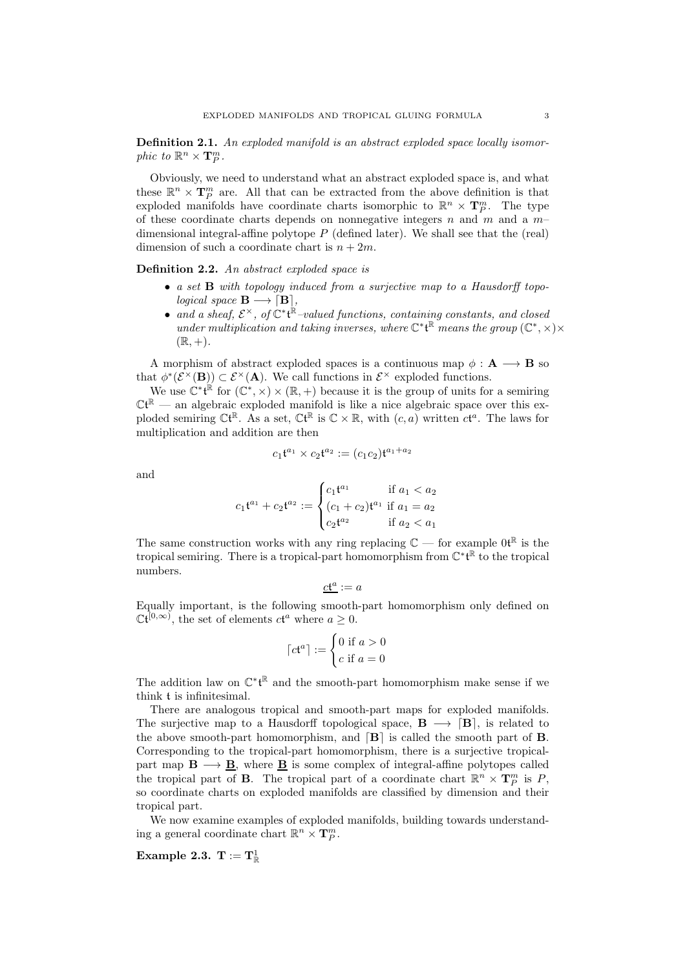Definition 2.1. An exploded manifold is an abstract exploded space locally isomorphic to  $\mathbb{R}^n \times \mathbf{T}_P^m$ .

Obviously, we need to understand what an abstract exploded space is, and what these  $\mathbb{R}^n \times \mathbf{T}_{P}^m$  are. All that can be extracted from the above definition is that exploded manifolds have coordinate charts isomorphic to  $\mathbb{R}^n \times \mathbf{T}_{P}^m$ . The type of these coordinate charts depends on nonnegative integers  $n$  and  $m$  and a  $m$ dimensional integral-affine polytope  $P$  (defined later). We shall see that the (real) dimension of such a coordinate chart is  $n + 2m$ .

Definition 2.2. An abstract exploded space is

- a set B with topology induced from a surjective map to a Hausdorff topological space  $\mathbf{B} \longrightarrow [\mathbf{B}]$ ,
- and a sheaf,  $\mathcal{E}^{\times}$ , of  $\mathbb{C}^*$ t<sup> $\mathbb{R}$ </sup>-valued functions, containing constants, and closed under multiplication and taking inverses, where  $\mathbb{C}^*$ t<sup>R</sup> means the group  $(\mathbb{C}^*,\times)\times$  $(\mathbb{R}, +).$

A morphism of abstract exploded spaces is a continuous map  $\phi : A \longrightarrow B$  so that  $\phi^*(\mathcal{E}^{\times}(\mathbf{B})) \subset \mathcal{E}^{\times}(\mathbf{A})$ . We call functions in  $\mathcal{E}^{\times}$  exploded functions.

We use  $\mathbb{C}^*\mathfrak{t}^{\mathbb{R}}$  for  $(\mathbb{C}^*,\times) \times (\mathbb{R},+)$  because it is the group of units for a semiring  $\mathbb{C} \mathfrak{t}^{\mathbb{R}}$  — an algebraic exploded manifold is like a nice algebraic space over this exploded semiring  $\mathbb{C} \mathfrak{t}^{\mathbb{R}}$ . As a set,  $\mathbb{C} \mathfrak{t}^{\mathbb{R}}$  is  $\mathbb{C} \times \mathbb{R}$ , with  $(c, a)$  written  $c\mathfrak{t}^a$ . The laws for multiplication and addition are then

$$
c_1\mathfrak{t}^{a_1}\times c_2\mathfrak{t}^{a_2}:=(c_1c_2)\mathfrak{t}^{a_1+a_2}
$$

and

$$
c_1 \mathfrak{t}^{a_1} + c_2 \mathfrak{t}^{a_2} := \begin{cases} c_1 \mathfrak{t}^{a_1} & \text{if } a_1 < a_2 \\ (c_1 + c_2) \mathfrak{t}^{a_1} & \text{if } a_1 = a_2 \\ c_2 \mathfrak{t}^{a_2} & \text{if } a_2 < a_1 \end{cases}
$$

The same construction works with any ring replacing  $\mathbb{C}$  — for example  $0\mathfrak{t}^{\mathbb{R}}$  is the tropical semiring. There is a tropical-part homomorphism from  $\mathbb{C}^*\mathfrak{t}^{\mathbb{R}}$  to the tropical numbers.

$$
ct^a := a
$$

Equally important, is the following smooth-part homomorphism only defined on  $\mathbb{C}\mathfrak{t}^{[0,\infty)}$ , the set of elements  $c\mathfrak{t}^a$  where  $a \geq 0$ .

$$
\lceil c \mathfrak{t}^a \rceil := \begin{cases} 0 \text{ if } a > 0 \\ c \text{ if } a = 0 \end{cases}
$$

The addition law on  $\mathbb{C}^*\mathfrak{t}^{\mathbb{R}}$  and the smooth-part homomorphism make sense if we think t is infinitesimal.

There are analogous tropical and smooth-part maps for exploded manifolds. The surjective map to a Hausdorff topological space,  $B \longrightarrow [B]$ , is related to the above smooth-part homomorphism, and  $[B]$  is called the smooth part of  $B$ . Corresponding to the tropical-part homomorphism, there is a surjective tropicalpart map  $B \longrightarrow B$ , where B is some complex of integral-affine polytopes called the tropical part of **B**. The tropical part of a coordinate chart  $\mathbb{R}^n \times \mathbf{T}_P^m$  is P, so coordinate charts on exploded manifolds are classified by dimension and their tropical part.

We now examine examples of exploded manifolds, building towards understanding a general coordinate chart  $\mathbb{R}^n \times \mathbf{T}_{P}^m$ .

 $\textbf{Example 2.3.} \ \mathbf{T} := \mathbf{T}^1_{\mathbb{R}}$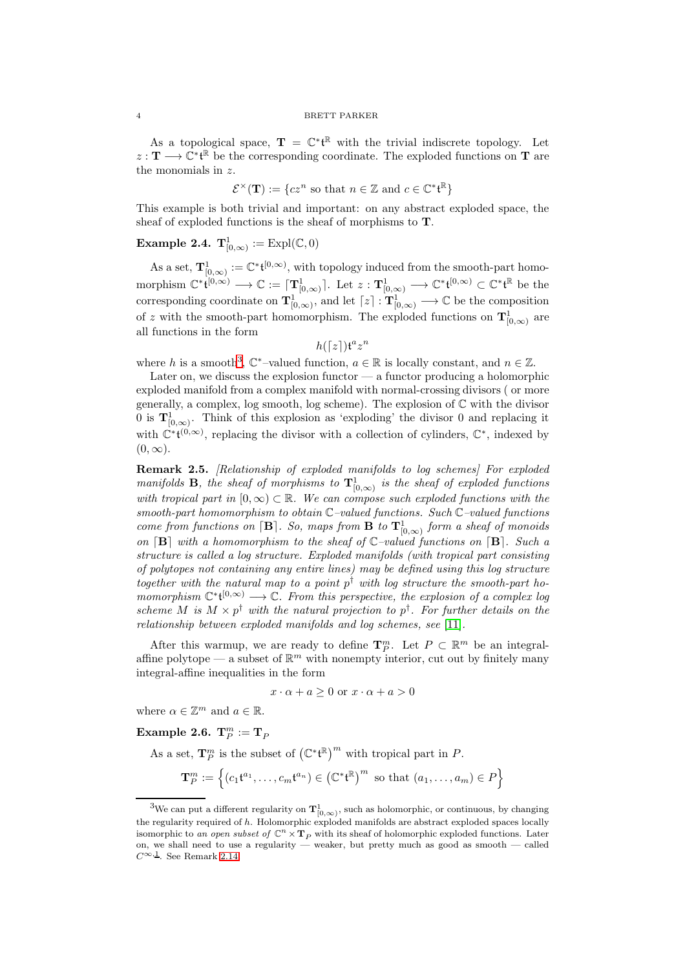As a topological space,  $\mathbf{T} = \mathbb{C}^* \mathfrak{t}^{\mathbb{R}}$  with the trivial indiscrete topology. Let  $z: \mathbf{T} \longrightarrow \mathbb{C}^* \mathfrak{t}^{\mathbb{R}}$  be the corresponding coordinate. The exploded functions on T are the monomials in z.

$$
\mathcal{E}^{\times}(\mathbf{T}) := \{ cz^n \text{ so that } n \in \mathbb{Z} \text{ and } c \in \mathbb{C}^* \mathfrak{t}^{\mathbb{R}} \}
$$

This example is both trivial and important: on any abstract exploded space, the sheaf of exploded functions is the sheaf of morphisms to T.

# **Example 2.4.**  $\mathbf{T}^1_{[0,\infty)} := \text{Expl}(\mathbb{C}, 0)$

As a set,  $\mathbf{T}_{[0,\infty)}^1 := \mathbb{C}^* \mathfrak{t}^{[0,\infty)}$ , with topology induced from the smooth-part homomorphism  $\mathbb{C}^* \dot{\mathfrak{t}}^{[0,\infty)} \longrightarrow \mathbb{C} := \lceil \mathbf{T}^1_{[0,\infty)} \rceil$ . Let  $z : \mathbf{T}^1_{[0,\infty)} \longrightarrow \mathbb{C}^* \mathfrak{t}^{[0,\infty)} \subset \mathbb{C}^* \mathfrak{t}^{\mathbb{R}}$  be the corresponding coordinate on  $\mathbf{T}^1_{[0,\infty)}$ , and let  $[z]: \mathbf{T}^1_{[0,\infty)} \longrightarrow \mathbb{C}$  be the composition of z with the smooth-part homomorphism. The exploded functions on  $\mathbf{T}^1_{[0,\infty)}$  are all functions in the form

 $h([z]) \mathfrak{t}^a z^n$ 

where h is a smooth<sup>[3](#page-3-0)</sup>,  $\mathbb{C}^*$ -valued function,  $a \in \mathbb{R}$  is locally constant, and  $n \in \mathbb{Z}$ .

Later on, we discuss the explosion functor  $-$  a functor producing a holomorphic exploded manifold from a complex manifold with normal-crossing divisors ( or more generally, a complex, log smooth, log scheme). The explosion of  $\mathbb C$  with the divisor 0 is  $\mathbf{T}_{[0,\infty)}^1$ . Think of this explosion as 'exploding' the divisor 0 and replacing it with  $\mathbb{C}^*{\mathfrak{t}}^{(0,\infty)}$ , replacing the divisor with a collection of cylinders,  $\mathbb{C}^*$ , indexed by  $(0, \infty)$ .

<span id="page-3-1"></span>Remark 2.5. [Relationship of exploded manifolds to log schemes] For exploded manifolds **B**, the sheaf of morphisms to  $\mathbf{T}_{[0,\infty)}^1$  is the sheaf of exploded functions with tropical part in  $[0, \infty) \subset \mathbb{R}$ . We can compose such exploded functions with the smooth-part homomorphism to obtain  $\mathbb{C}-$ valued functions. Such  $\mathbb{C}-$ valued functions come from functions on  $[\mathbf{B}]$ . So, maps from  $\mathbf{B}$  to  $\mathbf{T}_{[0,\infty)}^1$  form a sheaf of monoids on  $[B]$  with a homomorphism to the sheaf of  $\mathbb{C}-$ valued functions on  $[B]$ . Such a structure is called a log structure. Exploded manifolds (with tropical part consisting of polytopes not containing any entire lines) may be defined using this log structure together with the natural map to a point  $p^{\dagger}$  with log structure the smooth-part homomorphism  $\mathbb{C}^*{\mathfrak{t}}^{[0,\infty)} \longrightarrow \mathbb{C}$ . From this perspective, the explosion of a complex log scheme M is  $M \times p^{\dagger}$  with the natural projection to  $p^{\dagger}$ . For further details on the relationship between exploded manifolds and log schemes, see [\[11\]](#page-16-2).

After this warmup, we are ready to define  $\mathbf{T}_{P}^{m}$ . Let  $P \subset \mathbb{R}^{m}$  be an integralaffine polytope — a subset of  $\mathbb{R}^m$  with nonempty interior, cut out by finitely many integral-affine inequalities in the form

$$
x \cdot \alpha + a \ge 0 \text{ or } x \cdot \alpha + a > 0
$$

where  $\alpha \in \mathbb{Z}^m$  and  $a \in \mathbb{R}$ .

Example 2.6.  $\mathbf{T}_{P}^{m}:=\mathbf{T}_{P}$ 

As a set,  $\mathbf{T}_P^m$  is the subset of  $(\mathbb{C}^*\mathfrak{t}^{\mathbb{R}})^m$  with tropical part in P.

$$
\mathbf{T}_P^m := \left\{ (c_1 \mathbf{t}^{a_1}, \dots, c_m \mathbf{t}^{a_n}) \in (\mathbb{C}^* \mathbf{t}^{\mathbb{R}})^m \text{ so that } (a_1, \dots, a_m) \in P \right\}
$$

<span id="page-3-0"></span><sup>&</sup>lt;sup>3</sup>We can put a different regularity on  $T^1_{[0,\infty)}$ , such as holomorphic, or continuous, by changing the regularity required of h. Holomorphic exploded manifolds are abstract exploded spaces locally isomorphic to an open subset of  $\mathbb{C}^n \times \mathbf{T}_P$  with its sheaf of holomorphic exploded functions. Later on, we shall need to use a regularity — weaker, but pretty much as good as smooth — called  $C^{\infty,1}$ . See Remark [2.14.](#page-8-1)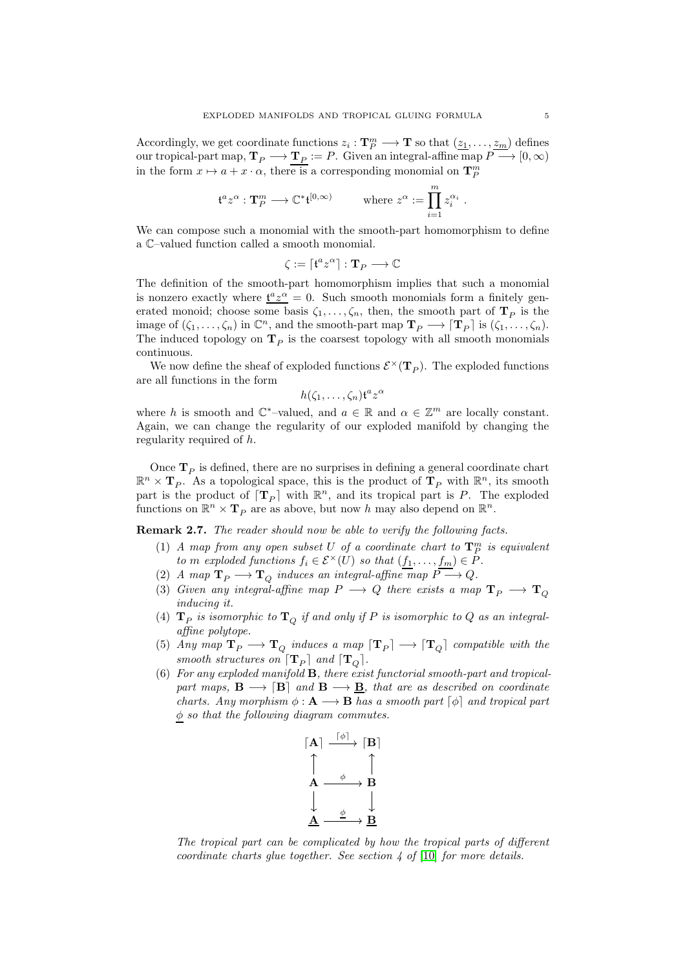Accordingly, we get coordinate functions  $z_i : \mathbf{T}_P^m \longrightarrow \mathbf{T}$  so that  $(\underline{z_1}, \ldots, \underline{z_m})$  defines our tropical-part map,  $\mathbf{T}_P \longrightarrow \mathbf{T}_P := P$ . Given an integral-affine map  $P \longrightarrow [0,\infty)$ in the form  $x \mapsto a + x \cdot \alpha$ , there is a corresponding monomial on  $\mathbf{T}_{P}^{m}$ 

$$
\mathfrak{t}^a z^\alpha : \mathbf{T}^m_P \longrightarrow \mathbb{C}^* \mathfrak{t}^{[0,\infty)} \qquad \text{where } z^\alpha := \prod_{i=1}^m z_i^{\alpha_i}
$$

We can compose such a monomial with the smooth-part homomorphism to define a C–valued function called a smooth monomial.

$$
\zeta:=\lceil\mathfrak{t}^az^\alpha\rceil:\mathbf{T}_P\longrightarrow\mathbb{C}
$$

The definition of the smooth-part homomorphism implies that such a monomial is nonzero exactly where  $\frac{t^a z^{\alpha}}{a} = 0$ . Such smooth monomials form a finitely generated monoid; choose some basis  $\zeta_1, \ldots, \zeta_n$ , then, the smooth part of  $\mathbf{T}_P$  is the image of  $(\zeta_1,\ldots,\zeta_n)$  in  $\mathbb{C}^n$ , and the smooth-part map  $\mathbf{T}_P \longrightarrow [\mathbf{T}_P]$  is  $(\zeta_1,\ldots,\zeta_n)$ . The induced topology on  $\mathbf{T}_P$  is the coarsest topology with all smooth monomials continuous.

We now define the sheaf of exploded functions  $\mathcal{E}^{\times}(\mathbf{T}_P)$ . The exploded functions are all functions in the form

$$
h(\zeta_1,\ldots,\zeta_n)\mathfrak{t}^az^\alpha
$$

where h is smooth and  $\mathbb{C}^*$ -valued, and  $a \in \mathbb{R}$  and  $\alpha \in \mathbb{Z}^m$  are locally constant. Again, we can change the regularity of our exploded manifold by changing the regularity required of h.

Once  $T_P$  is defined, there are no surprises in defining a general coordinate chart  $\mathbb{R}^n \times \mathbf{T}_P$ . As a topological space, this is the product of  $\mathbf{T}_P$  with  $\mathbb{R}^n$ , its smooth part is the product of  $[T_P]$  with  $\mathbb{R}^n$ , and its tropical part is P. The exploded functions on  $\mathbb{R}^n \times \mathbf{T}_P$  are as above, but now h may also depend on  $\mathbb{R}^n$ .

Remark 2.7. The reader should now be able to verify the following facts.

- (1) A map from any open subset U of a coordinate chart to  $\mathbf{T}_{P}^{m}$  is equivalent to m exploded functions  $f_i \in \mathcal{E}^{\times}(U)$  so that  $(f_1, \ldots, f_m) \in P$ .
- (2) A map  $\mathbf{T}_P \longrightarrow \mathbf{T}_Q$  induces an integral-affine map  $P \longrightarrow Q$ .
- (3) Given any integral-affine map  $P \longrightarrow Q$  there exists a map  $\mathbf{T}_P \longrightarrow \mathbf{T}_Q$ inducing it.
- (4)  $\mathbf{T}_P$  is isomorphic to  $\mathbf{T}_Q$  if and only if  $P$  is isomorphic to  $Q$  as an integralaffine polytope.
- (5) Any map  $\mathbf{T}_P \longrightarrow \mathbf{T}_Q$  induces a map  $[\mathbf{T}_P] \longrightarrow [\mathbf{T}_Q]$  compatible with the smooth structures on  $\lceil \mathbf{T}_P \rceil$  and  $\lceil \mathbf{T}_Q \rceil$ .
- (6) For any exploded manifold B, there exist functorial smooth-part and tropicalpart maps,  $\mathbf{B} \longrightarrow [\mathbf{B}]$  and  $\mathbf{B} \longrightarrow \mathbf{B}$ , that are as described on coordinate charts. Any morphism  $\phi : \mathbf{A} \longrightarrow \mathbf{B}$  has a smooth part  $[\phi]$  and tropical part  $\phi$  so that the following diagram commutes.



The tropical part can be complicated by how the tropical parts of different coordinate charts glue together. See section  $\frac{1}{4}$  of [\[10\]](#page-16-0) for more details.

.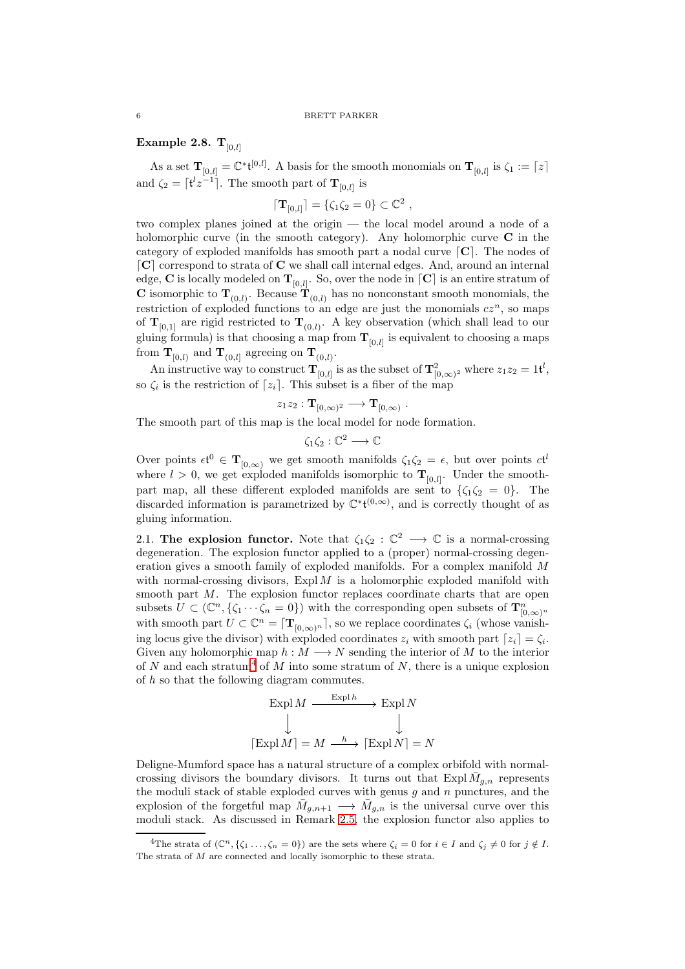<span id="page-5-2"></span>Example 2.8.  $T_{[0,l]}$ 

As a set  $\mathbf{T}_{[0,l]} = \mathbb{C}^* \mathfrak{t}^{[0,l]}$ . A basis for the smooth monomials on  $\mathbf{T}_{[0,l]}$  is  $\zeta_1 := \lceil z \rceil$ and  $\zeta_2 = \lceil t^l z^{-1} \rceil$ . The smooth part of  $\mathbf{T}_{[0,l]}$  is

$$
[\mathbf{T}_{[0,l]}] = \{ \zeta_1 \zeta_2 = 0 \} \subset \mathbb{C}^2 ,
$$

two complex planes joined at the origin — the local model around a node of a holomorphic curve (in the smooth category). Any holomorphic curve  $C$  in the category of exploded manifolds has smooth part a nodal curve  $\lceil \mathbf{C} \rceil$ . The nodes of  $\lceil \mathbf{C} \rceil$  correspond to strata of  $\mathbf{C}$  we shall call internal edges. And, around an internal edge,  $\bf C$  is locally modeled on  $\bf T_{[0,l]}$ . So, over the node in  $\lceil \bf C \rceil$  is an entire stratum of **C** isomorphic to  $\mathbf{T}_{(0,l)}$ . Because  $\mathbf{T}_{(0,l)}$  has no nonconstant smooth monomials, the restriction of exploded functions to an edge are just the monomials  $cz<sup>n</sup>$ , so maps of  $\mathbf{T}_{[0,1]}$  are rigid restricted to  $\mathbf{T}_{(0,l)}$ . A key observation (which shall lead to our gluing formula) is that choosing a map from  $\mathbf{T}_{[0,l]}$  is equivalent to choosing a maps from  $\mathbf{T}_{[0,l)}$  and  $\mathbf{T}_{(0,l]}$  agreeing on  $\mathbf{T}_{(0,l)}$ .

An instructive way to construct  $\mathbf{T}_{[0,l]}$  is as the subset of  $\mathbf{T}_{[0,\infty)^2}^2$  where  $z_1z_2=1$ t<sup>l</sup>, so  $\zeta_i$  is the restriction of  $[z_i]$ . This subset is a fiber of the map

$$
z_1 z_2 : \mathbf{T}_{[0,\infty)^2} \longrightarrow \mathbf{T}_{[0,\infty)} .
$$

The smooth part of this map is the local model for node formation.

$$
\zeta_1\zeta_2:\mathbb{C}^2\longrightarrow\mathbb{C}
$$

Over points  $\epsilon t^0 \in \mathbf{T}_{[0,\infty)}$  we get smooth manifolds  $\zeta_1 \zeta_2 = \epsilon$ , but over points  $c t^l$ where  $l > 0$ , we get exploded manifolds isomorphic to  $\mathbf{T}_{[0,l]}$ . Under the smoothpart map, all these different exploded manifolds are sent to  $\{\zeta_1\zeta_2 = 0\}$ . The discarded information is parametrized by  $\mathbb{C}^*{\mathfrak{t}}^{(0,\infty)}$ , and is correctly thought of as gluing information.

<span id="page-5-0"></span>2.1. The explosion functor. Note that  $\zeta_1 \zeta_2 : \mathbb{C}^2 \longrightarrow \mathbb{C}$  is a normal-crossing degeneration. The explosion functor applied to a (proper) normal-crossing degeneration gives a smooth family of exploded manifolds. For a complex manifold M with normal-crossing divisors,  $Expl M$  is a holomorphic exploded manifold with smooth part M. The explosion functor replaces coordinate charts that are open subsets  $\overline{U} \subset (\mathbb{C}^n, \{\zeta_1 \cdots \zeta_n = 0\})$  with the corresponding open subsets of  $\mathbf{T}_{[0,\infty)}^n$ with smooth part  $U \subset \mathbb{C}^n = [\mathbf{T}_{[0,\infty)^n}]$ , so we replace coordinates  $\zeta_i$  (whose vanishing locus give the divisor) with exploded coordinates  $z_i$  with smooth part  $[z_i] = \zeta_i$ . Given any holomorphic map  $h : M \longrightarrow N$  sending the interior of M to the interior of N and each stratum<sup>[4](#page-5-1)</sup> of M into some stratum of N, there is a unique explosion of h so that the following diagram commutes.

$$
\operatorname{Expl} M \xrightarrow{\operatorname{Expl} h} \operatorname{Expl} N
$$

$$
\downarrow \qquad \qquad \downarrow
$$

$$
[\operatorname{Expl} M] = M \xrightarrow{h} [\operatorname{Expl} N] = N
$$

Deligne-Mumford space has a natural structure of a complex orbifold with normalcrossing divisors the boundary divisors. It turns out that  $\text{Expl } \overline{M}_{g,n}$  represents the moduli stack of stable exploded curves with genus  $g$  and  $n$  punctures, and the explosion of the forgetful map  $\bar{M}_{g,n+1} \longrightarrow \bar{M}_{g,n}$  is the universal curve over this moduli stack. As discussed in Remark [2.5,](#page-3-1) the explosion functor also applies to

<span id="page-5-1"></span><sup>&</sup>lt;sup>4</sup>The strata of  $(\mathbb{C}^n, \{\zeta_1 \dots, \zeta_n = 0\})$  are the sets where  $\zeta_i = 0$  for  $i \in I$  and  $\zeta_i \neq 0$  for  $j \notin I$ . The strata of M are connected and locally isomorphic to these strata.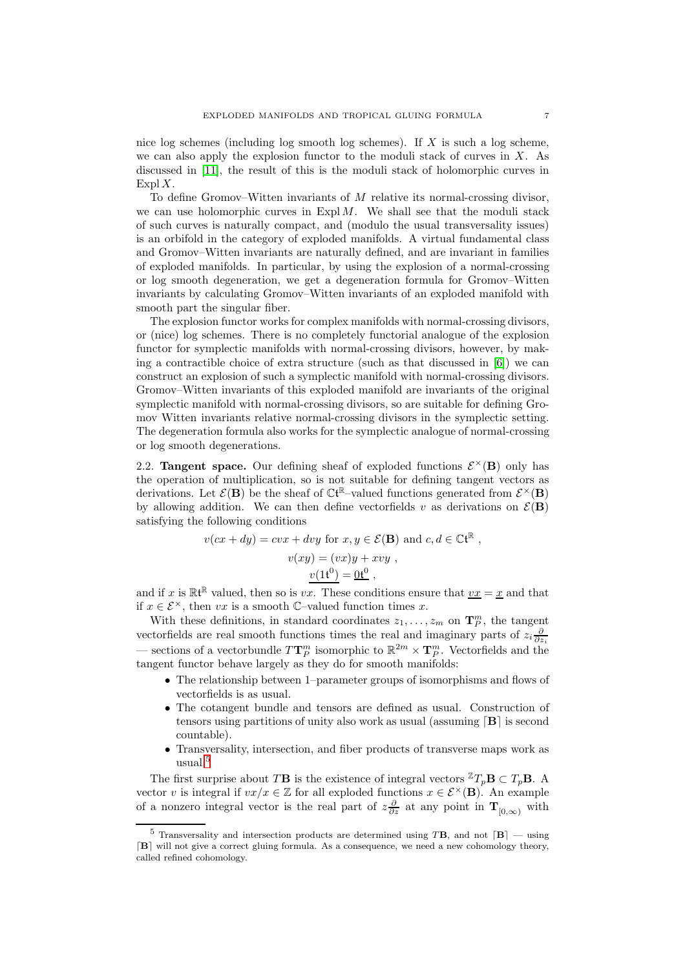nice log schemes (including log smooth log schemes). If X is such a log scheme, we can also apply the explosion functor to the moduli stack of curves in  $X$ . As discussed in [\[11\]](#page-16-2), the result of this is the moduli stack of holomorphic curves in Expl  $X$ .

To define Gromov–Witten invariants of  $M$  relative its normal-crossing divisor, we can use holomorphic curves in  $ExplM$ . We shall see that the moduli stack of such curves is naturally compact, and (modulo the usual transversality issues) is an orbifold in the category of exploded manifolds. A virtual fundamental class and Gromov–Witten invariants are naturally defined, and are invariant in families of exploded manifolds. In particular, by using the explosion of a normal-crossing or log smooth degeneration, we get a degeneration formula for Gromov–Witten invariants by calculating Gromov–Witten invariants of an exploded manifold with smooth part the singular fiber.

The explosion functor works for complex manifolds with normal-crossing divisors, or (nice) log schemes. There is no completely functorial analogue of the explosion functor for symplectic manifolds with normal-crossing divisors, however, by making a contractible choice of extra structure (such as that discussed in [\[6\]](#page-15-5)) we can construct an explosion of such a symplectic manifold with normal-crossing divisors. Gromov–Witten invariants of this exploded manifold are invariants of the original symplectic manifold with normal-crossing divisors, so are suitable for defining Gromov Witten invariants relative normal-crossing divisors in the symplectic setting. The degeneration formula also works for the symplectic analogue of normal-crossing or log smooth degenerations.

<span id="page-6-0"></span>2.2. Tangent space. Our defining sheaf of exploded functions  $\mathcal{E}^{\times}(\mathbf{B})$  only has the operation of multiplication, so is not suitable for defining tangent vectors as derivations. Let  $\mathcal{E}(\mathbf{B})$  be the sheaf of  $\mathbb{C} \mathfrak{t}^{\mathbb{R}}$ -valued functions generated from  $\mathcal{E}^{\times}(\mathbf{B})$ by allowing addition. We can then define vectorfields v as derivations on  $\mathcal{E}(\mathbf{B})$ satisfying the following conditions

$$
v(cx + dy) = cvx + dvy \text{ for } x, y \in \mathcal{E}(\mathbf{B}) \text{ and } c, d \in \mathbb{C}t^{\mathbb{R}},
$$

$$
v(xy) = (vx)y + xvy ,
$$

$$
\frac{v(1t^0)}{} = \underline{0t^0} ,
$$

and if x is  $\mathbb{R}^{t\mathbb{R}}$  valued, then so is vx. These conditions ensure that  $\underline{vx} = \underline{x}$  and that if  $x \in \mathcal{E}^{\times}$ , then vx is a smooth  $\mathbb{C}$ -valued function times x.

With these definitions, in standard coordinates  $z_1, \ldots, z_m$  on  $\mathbf{T}_P^m$ , the tangent vectorfields are real smooth functions times the real and imaginary parts of  $z_i \frac{\partial}{\partial z_i}$ — sections of a vectorbundle  $T\mathbf{T}_{P}^{m}$  isomorphic to  $\mathbb{R}^{2m}\times\mathbf{T}_{P}^{m}$ . Vectorfields and the tangent functor behave largely as they do for smooth manifolds:

- The relationship between 1–parameter groups of isomorphisms and flows of vectorfields is as usual.
- The cotangent bundle and tensors are defined as usual. Construction of tensors using partitions of unity also work as usual (assuming  $[B]$  is second countable).
- Transversality, intersection, and fiber products of transverse maps work as usual.[5](#page-6-1)

The first surprise about TB is the existence of integral vectors  ${}^{\mathbb{Z}}T_p\mathbf{B} \subset T_p\mathbf{B}$ . A vector v is integral if  $vx/x \in \mathbb{Z}$  for all exploded functions  $x \in \mathcal{E}^{\times}(\mathbf{B})$ . An example of a nonzero integral vector is the real part of  $z\frac{\partial}{\partial z}$  at any point in  $\mathbf{T}_{[0,\infty)}$  with

<span id="page-6-1"></span><sup>&</sup>lt;sup>5</sup> Transversality and intersection products are determined using TB, and not  $[B]$  — using ⌈B⌉ will not give a correct gluing formula. As a consequence, we need a new cohomology theory, called refined cohomology.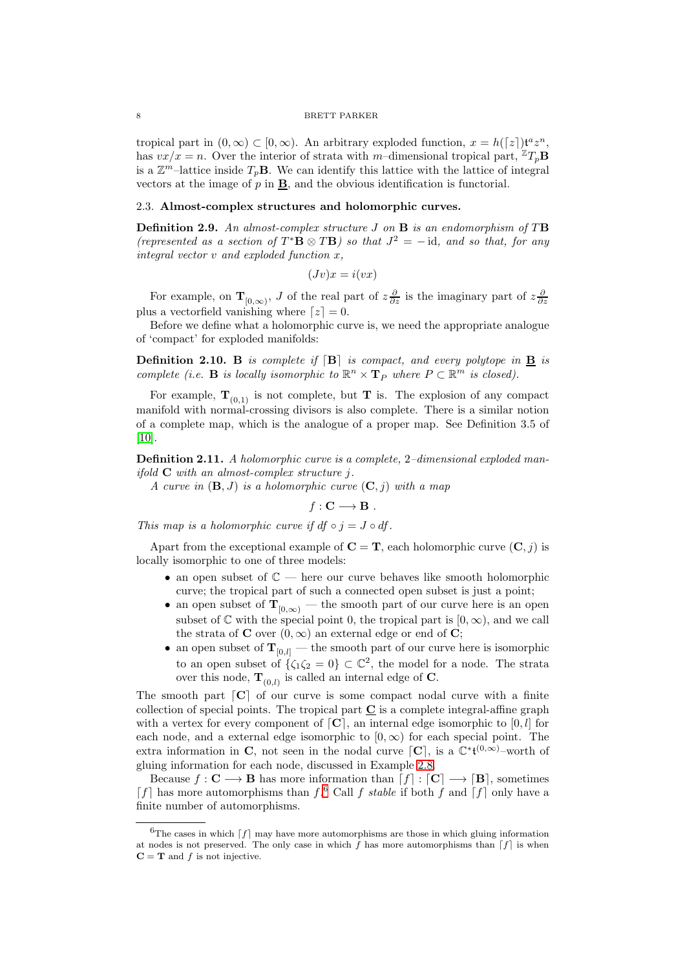tropical part in  $(0, \infty) \subset [0, \infty)$ . An arbitrary exploded function,  $x = h([z])t^a z^n$ , has  $vx/x = n$ . Over the interior of strata with m-dimensional tropical part,  ${}^{\mathbb{Z}}T_p\mathbf{B}$ is a  $\mathbb{Z}^m$ -lattice inside  $T_p$ **B**. We can identify this lattice with the lattice of integral vectors at the image of  $p$  in  $\underline{\mathbf{B}}$ , and the obvious identification is functorial.

## <span id="page-7-0"></span>2.3. Almost-complex structures and holomorphic curves.

**Definition 2.9.** An almost-complex structure  $J$  on  $B$  is an endomorphism of  $T\mathbf{B}$ (represented as a section of  $T^*{\bf B} \otimes T{\bf B}$ ) so that  $J^2 = -id$ , and so that, for any integral vector v and exploded function x,

$$
(Jv)x = i(vx)
$$

For example, on  $\mathbf{T}_{[0,\infty)}$ , J of the real part of  $z\frac{\partial}{\partial z}$  is the imaginary part of  $z\frac{\partial}{\partial z}$ plus a vectorfield vanishing where  $[z] = 0$ .

Before we define what a holomorphic curve is, we need the appropriate analogue of 'compact' for exploded manifolds:

**Definition 2.10.** B is complete if  $[B]$  is compact, and every polytope in  $\underline{B}$  is complete (i.e. **B** is locally isomorphic to  $\mathbb{R}^n \times \mathbf{T}_P$  where  $P \subset \mathbb{R}^m$  is closed).

For example,  $\mathbf{T}_{(0,1)}$  is not complete, but **T** is. The explosion of any compact manifold with normal-crossing divisors is also complete. There is a similar notion of a complete map, which is the analogue of a proper map. See Definition 3.5 of [\[10\]](#page-16-0).

<span id="page-7-2"></span>Definition 2.11. A holomorphic curve is a complete, 2-dimensional exploded manifold  $C$  with an almost-complex structure j.

A curve in  $(\mathbf{B}, J)$  is a holomorphic curve  $(\mathbf{C}, j)$  with a map

 $f: \mathbf{C} \longrightarrow \mathbf{B}$ .

This map is a holomorphic curve if  $df \circ i = J \circ df$ .

Apart from the exceptional example of  $C = T$ , each holomorphic curve  $(C, j)$  is locally isomorphic to one of three models:

- an open subset of  $\mathbb{C}$  here our curve behaves like smooth holomorphic curve; the tropical part of such a connected open subset is just a point;
- an open subset of  $T_{[0,\infty)}$  the smooth part of our curve here is an open subset of  $\mathbb C$  with the special point 0, the tropical part is  $[0, \infty)$ , and we call the strata of **C** over  $(0, \infty)$  an external edge or end of **C**;
- an open subset of  $T_{[0,l]}$  the smooth part of our curve here is isomorphic to an open subset of  $\{\zeta_1\zeta_2=0\}\subset\mathbb{C}^2$ , the model for a node. The strata over this node,  $\mathbf{T}_{(0,l)}$  is called an internal edge of C.

The smooth part  $\lceil \mathbf{C} \rceil$  of our curve is some compact nodal curve with a finite collection of special points. The tropical part  $C$  is a complete integral-affine graph with a vertex for every component of  $[C]$ , an internal edge isomorphic to  $[0, l]$  for each node, and a external edge isomorphic to  $[0, \infty)$  for each special point. The extra information in C, not seen in the nodal curve  $[C]$ , is a  $\mathbb{C}^* \mathfrak{t}^{(0,\infty)}$ -worth of gluing information for each node, discussed in Example [2.8.](#page-5-2)

Because  $f: \mathbf{C} \longrightarrow \mathbf{B}$  has more information than  $[f] : [\mathbf{C}] \longrightarrow [\mathbf{B}]$ , sometimes  $[f]$  has more automorphisms than  $f^6$  $f^6$  Call f stable if both f and  $[f]$  only have a finite number of automorphisms.

<span id="page-7-1"></span> ${}^{6}$ The cases in which  $[f]$  may have more automorphisms are those in which gluing information at nodes is not preserved. The only case in which f has more automorphisms than  $[f]$  is when  $C = T$  and f is not injective.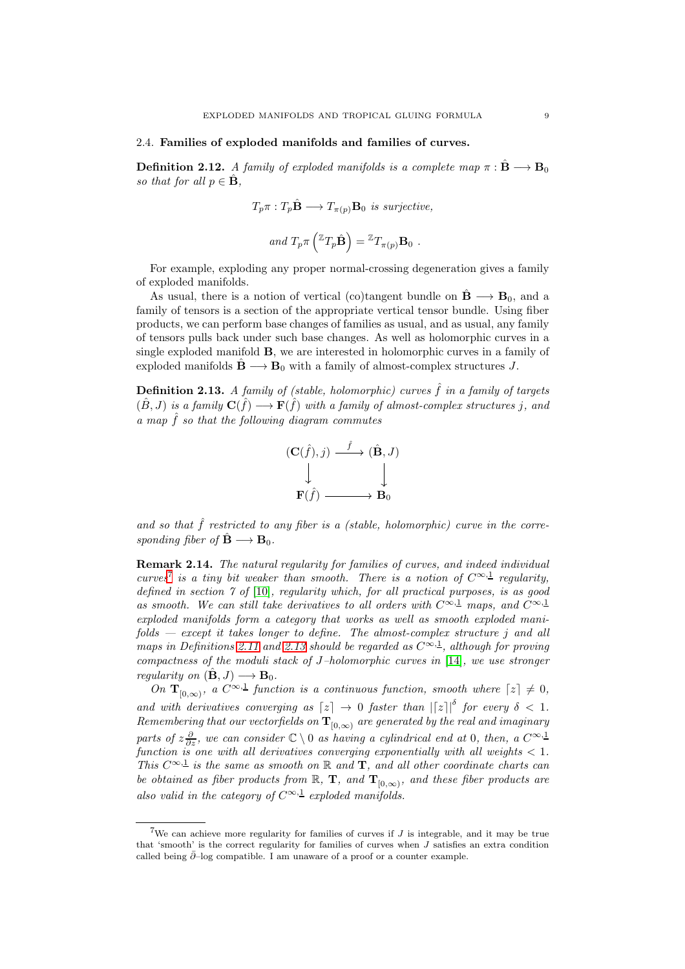#### <span id="page-8-0"></span>2.4. Families of exploded manifolds and families of curves.

**Definition 2.12.** A family of exploded manifolds is a complete map  $\pi : \mathbf{B} \longrightarrow \mathbf{B}_0$ so that for all  $p \in \hat{\mathbf{B}}$ ,

$$
T_p \pi : T_p \hat{\mathbf{B}} \longrightarrow T_{\pi(p)} \mathbf{B}_0 \text{ is surjective,}
$$

and 
$$
T_p \pi \left( {}^{\mathbb{Z}} T_p \hat{\mathbf{B}} \right) = {}^{\mathbb{Z}} T_{\pi(p)} \mathbf{B}_0
$$
.

For example, exploding any proper normal-crossing degeneration gives a family of exploded manifolds.

As usual, there is a notion of vertical (co)tangent bundle on  $\hat{\mathbf{B}} \longrightarrow \mathbf{B}_0$ , and a family of tensors is a section of the appropriate vertical tensor bundle. Using fiber products, we can perform base changes of families as usual, and as usual, any family of tensors pulls back under such base changes. As well as holomorphic curves in a single exploded manifold B, we are interested in holomorphic curves in a family of exploded manifolds  $\hat{\mathbf{B}} \longrightarrow \mathbf{B}_0$  with a family of almost-complex structures J.

<span id="page-8-3"></span>**Definition 2.13.** A family of (stable, holomorphic) curves  $\hat{f}$  in a family of targets  $(\hat{B}, J)$  is a family  $\mathbf{C}(\hat{f}) \longrightarrow \mathbf{F}(\hat{f})$  with a family of almost-complex structures j, and a map  $\hat{f}$  so that the following diagram commutes



and so that  $\hat{f}$  restricted to any fiber is a (stable, holomorphic) curve in the corresponding fiber of  $\hat{\mathbf{B}} \longrightarrow \mathbf{B}_0$ .

<span id="page-8-1"></span>Remark 2.14. The natural regularity for families of curves, and indeed individual curves<sup>[7](#page-8-2)</sup> is a tiny bit weaker than smooth. There is a notion of  $C^{\infty,1}$  regularity, defined in section 7 of [\[10\]](#page-16-0), regularity which, for all practical purposes, is as good as smooth. We can still take derivatives to all orders with  $C^{\infty,1}$  maps, and  $C^{\infty,1}$ exploded manifolds form a category that works as well as smooth exploded manifolds — except it takes longer to define. The almost-complex structure j and all maps in Definitions [2.11](#page-7-2) and [2.13](#page-8-3) should be regarded as  $C^{\infty,1}$ , although for proving compactness of the moduli stack of J–holomorphic curves in [\[14\]](#page-16-4), we use stronger regularity on  $(\hat{\mathbf{B}}, J) \longrightarrow \mathbf{B}_0$ .

On  $\mathbf{T}_{[0,\infty)}$ , a  $C^{\infty,1}$  function is a continuous function, smooth where  $[z] \neq 0$ , and with derivatives converging as  $[z] \rightarrow 0$  faster than  $|[z]|^{\delta}$  for every  $\delta < 1$ .  $Remembering~that~our~vector fields~on~\mathbf{T}_{[0,\infty)}~are~generated~by~the~real~and~imaginary$ parts of  $z\frac{\partial}{\partial z}$ , we can consider  $\mathbb{C} \setminus 0$  as having a cylindrical end at 0, then, a  $C^{\infty, \pm}$ function is one with all derivatives converging exponentially with all weights  $< 1$ . This  $C^{\infty,1}$  is the same as smooth on  $\mathbb R$  and  $\mathbf T$ , and all other coordinate charts can be obtained as fiber products from  $\mathbb R$ ,  $\mathbf T$ , and  $\mathbf T_{[0,\infty)}$ , and these fiber products are also valid in the category of  $C^{\infty,1}$  exploded manifolds.

<span id="page-8-2"></span><sup>&</sup>lt;sup>7</sup>We can achieve more regularity for families of curves if  $J$  is integrable, and it may be true that 'smooth' is the correct regularity for families of curves when  $J$  satisfies an extra condition called being  $\bar{\partial}$ –log compatible. I am unaware of a proof or a counter example.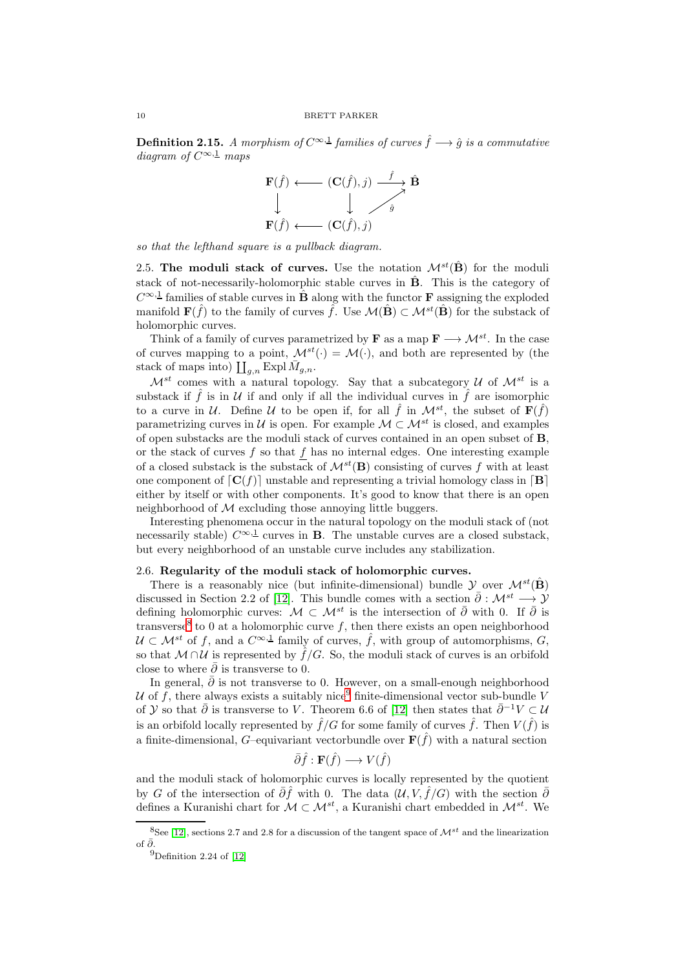**Definition 2.15.** A morphism of  $C^{\infty,1}$  families of curves  $\hat{f} \longrightarrow \hat{g}$  is a commutative diagram of  $C^{\infty,1}$  maps



<span id="page-9-0"></span>so that the lefthand square is a pullback diagram.

2.5. The moduli stack of curves. Use the notation  $\mathcal{M}^{st}(\hat{\mathbf{B}})$  for the moduli stack of not-necessarily-holomorphic stable curves in  $\hat{B}$ . This is the category of  $C^{\infty,1}$  families of stable curves in  $\hat{B}$  along with the functor **F** assigning the exploded manifold  $\mathbf{F}(\hat{f})$  to the family of curves  $\hat{f}$ . Use  $\mathcal{M}(\hat{\mathbf{B}}) \subset \mathcal{M}^{st}(\hat{\mathbf{B}})$  for the substack of holomorphic curves.

Think of a family of curves parametrized by **F** as a map  $\mathbf{F} \longrightarrow \mathcal{M}^{st}$ . In the case of curves mapping to a point,  $\mathcal{M}^{st}(\cdot) = \mathcal{M}(\cdot)$ , and both are represented by (the stack of maps into)  $\prod_{g,n}$  Expl $\bar{M}_{g,n}$ .

 $\mathcal{M}^{st}$  comes with a natural topology. Say that a subcategory U of  $\mathcal{M}^{st}$  is a substack if  $\hat{f}$  is in U if and only if all the individual curves in  $\hat{f}$  are isomorphic to a curve in U. Define U to be open if, for all  $\hat{f}$  in  $\mathcal{M}^{st}$ , the subset of  $\mathbf{F}(\hat{f})$ parametrizing curves in U is open. For example  $\mathcal{M} \subset \mathcal{M}^{st}$  is closed, and examples of open substacks are the moduli stack of curves contained in an open subset of B, or the stack of curves  $f$  so that  $f$  has no internal edges. One interesting example of a closed substack is the substack of  $\mathcal{M}^{st}(\mathbf{B})$  consisting of curves f with at least one component of  $\lceil \mathbf{C}(f) \rceil$  unstable and representing a trivial homology class in  $\lceil \mathbf{B} \rceil$ either by itself or with other components. It's good to know that there is an open neighborhood of  $M$  excluding those annoying little buggers.

Interesting phenomena occur in the natural topology on the moduli stack of (not necessarily stable)  $C^{\infty,1}$  curves in **B**. The unstable curves are a closed substack, but every neighborhood of an unstable curve includes any stabilization.

#### <span id="page-9-1"></span>2.6. Regularity of the moduli stack of holomorphic curves.

There is a reasonably nice (but infinite-dimensional) bundle  $\mathcal Y$  over  $\mathcal M^{st}(\hat{\mathbf{B}})$ discussed in Section 2.2 of [\[12\]](#page-16-5). This bundle comes with a section  $\bar{\partial}: \mathcal{M}^{st} \longrightarrow \mathcal{Y}$ defining holomorphic curves:  $\mathcal{M} \subset \mathcal{M}^{st}$  is the intersection of  $\bar{\partial}$  with 0. If  $\bar{\partial}$  is transverse<sup>[8](#page-9-2)</sup> to 0 at a holomorphic curve f, then there exists an open neighborhood  $\mathcal{U} \subset \mathcal{M}^{st}$  of f, and a  $C^{\infty, \perp}$  family of curves,  $\hat{f}$ , with group of automorphisms,  $G$ , so that  $M \cap U$  is represented by  $\hat{f}/G$ . So, the moduli stack of curves is an orbifold close to where  $\bar{\partial}$  is transverse to 0.

In general,  $\bar{\partial}$  is not transverse to 0. However, on a small-enough neighborhood U of f, there always exists a suitably nice<sup>[9](#page-9-3)</sup> finite-dimensional vector sub-bundle V of Y so that  $\bar{\partial}$  is transverse to V. Theorem 6.6 of [\[12\]](#page-16-5) then states that  $\bar{\partial}^{-1}V \subset U$ is an orbifold locally represented by  $\hat{f}/G$  for some family of curves  $\hat{f}$ . Then  $V(\hat{f})$  is a finite-dimensional, G-equivariant vectorbundle over  $F(\hat{f})$  with a natural section

$$
\bar{\partial}\hat{f} : \mathbf{F}(\hat{f}) \longrightarrow V(\hat{f})
$$

and the moduli stack of holomorphic curves is locally represented by the quotient by G of the intersection of  $\bar{\partial}\hat{f}$  with 0. The data  $(\mathcal{U}, V, \hat{f}/G)$  with the section  $\bar{\partial}$ defines a Kuranishi chart for  $\mathcal{M} \subset \mathcal{M}^{st}$ , a Kuranishi chart embedded in  $\mathcal{M}^{st}$ . We

<sup>&</sup>lt;sup>8</sup>See [\[12\]](#page-16-5), sections 2.7 and 2.8 for a discussion of the tangent space of  $\mathcal{M}^{st}$  and the linearization of  $\bar{\partial}$ .

<span id="page-9-3"></span><span id="page-9-2"></span><sup>&</sup>lt;sup>9</sup>Definition 2.24 of  $[12]$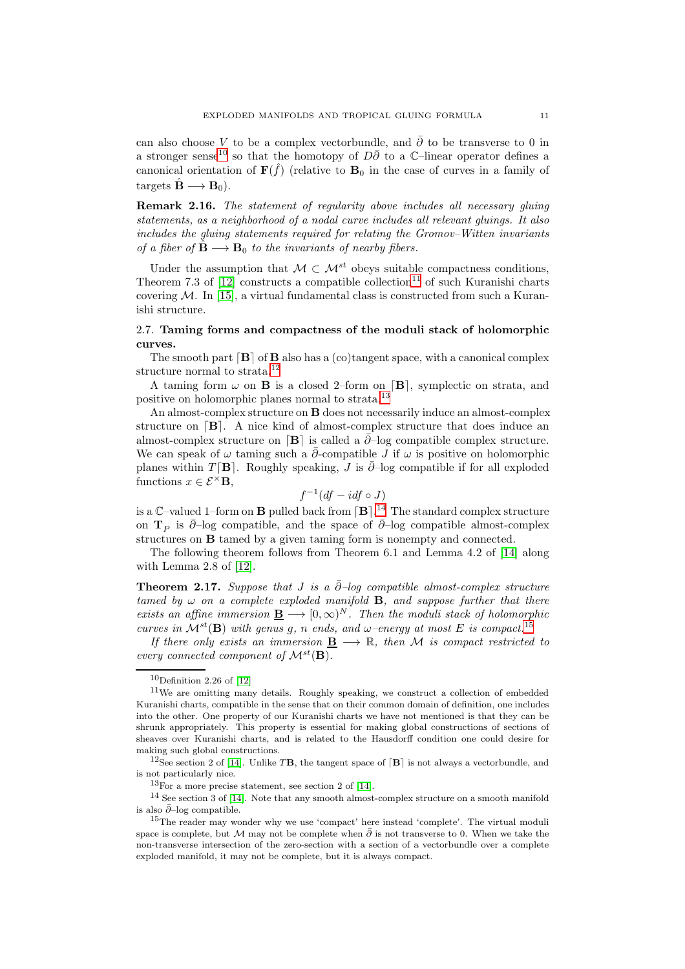can also choose V to be a complex vectorbundle, and  $\bar{\partial}$  to be transverse to 0 in a stronger sense<sup>[10](#page-10-1)</sup> so that the homotopy of  $D\bar{\partial}$  to a  $\mathbb{C}$ –linear operator defines a canonical orientation of  $\mathbf{F}(\hat{f})$  (relative to  $\mathbf{B}_0$  in the case of curves in a family of targets  $\hat{\mathbf{B}} \longrightarrow \mathbf{B}_0$ ).

Remark 2.16. The statement of regularity above includes all necessary gluing statements, as a neighborhood of a nodal curve includes all relevant gluings. It also includes the gluing statements required for relating the Gromov–Witten invariants of a fiber of  $\hat{\mathbf{B}} \longrightarrow \mathbf{B}_0$  to the invariants of nearby fibers.

Under the assumption that  $\mathcal{M} \subset \mathcal{M}^{st}$  obeys suitable compactness conditions. Theorem 7.3 of  $[12]$  constructs a compatible collection<sup>[11](#page-10-2)</sup> of such Kuranishi charts covering  $M$ . In [\[15\]](#page-16-6), a virtual fundamental class is constructed from such a Kuranishi structure.

## <span id="page-10-0"></span>2.7. Taming forms and compactness of the moduli stack of holomorphic curves.

The smooth part  $[B]$  of  $B$  also has a (co)tangent space, with a canonical complex structure normal to strata.<sup>[12](#page-10-3)</sup>

A taming form  $\omega$  on **B** is a closed 2–form on [**B**], symplectic on strata, and positive on holomorphic planes normal to strata.[13](#page-10-4)

An almost-complex structure on B does not necessarily induce an almost-complex structure on  $[B]$ . A nice kind of almost-complex structure that does induce an almost-complex structure on  $[\mathbf{B}]$  is called a  $\bar{\partial}$ –log compatible complex structure. We can speak of  $\omega$  taming such a  $\partial$ -compatible J if  $\omega$  is positive on holomorphic planes within T [B]. Roughly speaking, J is  $\partial$ –log compatible if for all exploded functions  $x \in \mathcal{E}^{\times} \mathbf{B}$ ,

$$
f^{-1}(df - idf \circ J)
$$

is a  $\mathbb{C}\text{-valued }1\text{-form on }\mathbf{B}$  pulled back from  $[\mathbf{B}]$ .<sup>[14](#page-10-5)</sup> The standard complex structure on  $\mathbf{T}_P$  is  $\bar{\partial}$ –log compatible, and the space of  $\bar{\partial}$ –log compatible almost-complex structures on B tamed by a given taming form is nonempty and connected.

The following theorem follows from Theorem 6.1 and Lemma 4.2 of [\[14\]](#page-16-4) along with Lemma 2.8 of [\[12\]](#page-16-5).

Theorem 2.17. Suppose that J is a  $\bar{\partial}$ –log compatible almost-complex structure tamed by  $\omega$  on a complete exploded manifold **B**, and suppose further that there exists an affine immersion  $\underline{\mathbf{B}} \longrightarrow [0,\infty)^N$ . Then the moduli stack of holomorphic curves in  $\mathcal{M}^{st}(\mathbf{B})$  with genus g, n ends, and  $\omega$ -energy at most E is compact.<sup>[15](#page-10-6)</sup>

If there only exists an immersion  $B \longrightarrow \mathbb{R}$ , then M is compact restricted to every connected component of  $\mathcal{M}^{st}(\mathbf{B})$ .

<sup>12</sup>See section 2 of [\[14\]](#page-16-4). Unlike T**B**, the tangent space of  $[B]$  is not always a vectorbundle, and is not particularly nice.

<span id="page-10-4"></span><span id="page-10-3"></span> $13$ For a more precise statement, see section 2 of [\[14\]](#page-16-4).

<span id="page-10-2"></span><span id="page-10-1"></span> $10$ Definition 2.26 of [\[12\]](#page-16-5)

<sup>11</sup>We are omitting many details. Roughly speaking, we construct a collection of embedded Kuranishi charts, compatible in the sense that on their common domain of definition, one includes into the other. One property of our Kuranishi charts we have not mentioned is that they can be shrunk appropriately. This property is essential for making global constructions of sections of sheaves over Kuranishi charts, and is related to the Hausdorff condition one could desire for making such global constructions.

<span id="page-10-5"></span><sup>14</sup> See section 3 of [\[14\]](#page-16-4). Note that any smooth almost-complex structure on a smooth manifold is also  $\bar{\partial}$ –log compatible.

<span id="page-10-6"></span><sup>15</sup>The reader may wonder why we use 'compact' here instead 'complete'. The virtual moduli space is complete, but M may not be complete when  $\bar{\partial}$  is not transverse to 0. When we take the non-transverse intersection of the zero-section with a section of a vectorbundle over a complete exploded manifold, it may not be complete, but it is always compact.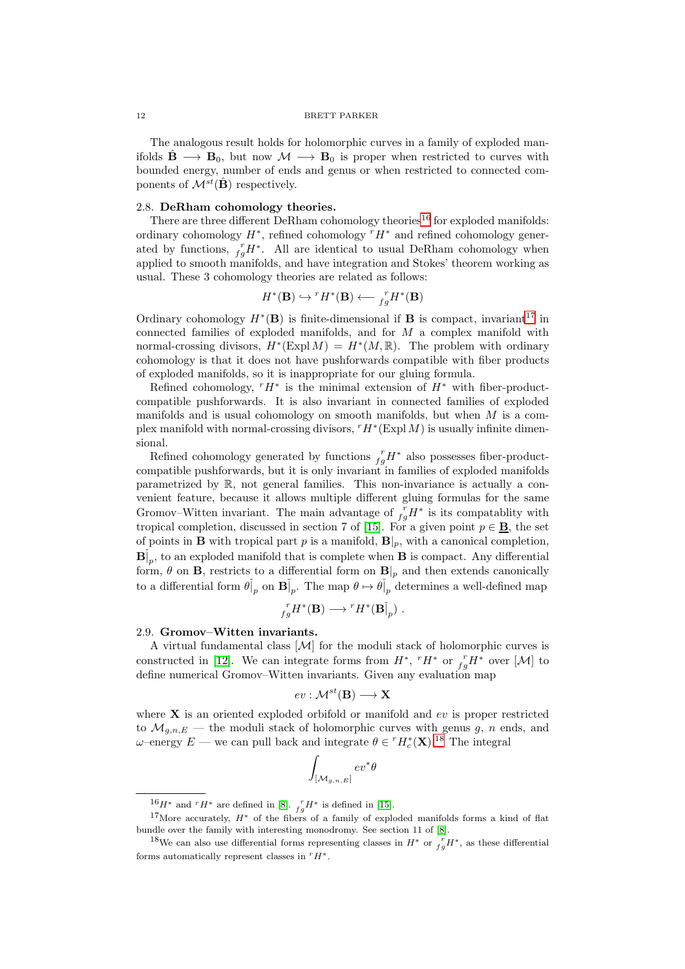The analogous result holds for holomorphic curves in a family of exploded manifolds  $\hat{\mathbf{B}} \longrightarrow \mathbf{B}_0$ , but now  $\mathcal{M} \longrightarrow \mathbf{B}_0$  is proper when restricted to curves with bounded energy, number of ends and genus or when restricted to connected components of  $\mathcal{M}^{st}(\hat{\mathbf{B}})$  respectively.

#### <span id="page-11-0"></span>2.8. DeRham cohomology theories.

There are three different DeRham cohomology theories  $^{16}$  $^{16}$  $^{16}$  for exploded manifolds: ordinary cohomology  $H^*$ , refined cohomology  $^rH^*$  and refined cohomology generated by functions,  ${}_{fg}^r H^*$ . All are identical to usual DeRham cohomology when applied to smooth manifolds, and have integration and Stokes' theorem working as usual. These 3 cohomology theories are related as follows:

$$
H^*(\mathbf{B}) \hookrightarrow {^rH^*}(\mathbf{B}) \longleftarrow {^r_gH^*}(\mathbf{B})
$$

Ordinary cohomology  $H^*(\mathbf{B})$  is finite-dimensional if **B** is compact, invariant<sup>[17](#page-11-3)</sup> in connected families of exploded manifolds, and for M a complex manifold with normal-crossing divisors,  $H^*(\text{Expl }M) = H^*(M,\mathbb{R})$ . The problem with ordinary cohomology is that it does not have pushforwards compatible with fiber products of exploded manifolds, so it is inappropriate for our gluing formula.

Refined cohomology,  $TH^*$  is the minimal extension of  $H^*$  with fiber-productcompatible pushforwards. It is also invariant in connected families of exploded manifolds and is usual cohomology on smooth manifolds, but when  $M$  is a complex manifold with normal-crossing divisors,  $rH^*(\text{Expl }M)$  is usually infinite dimensional.

Refined cohomology generated by functions  $f_g H^*$  also possesses fiber-productcompatible pushforwards, but it is only invariant in families of exploded manifolds parametrized by R, not general families. This non-invariance is actually a convenient feature, because it allows multiple different gluing formulas for the same Gromov–Witten invariant. The main advantage of  $\int_{fg}^r H^*$  is its compatablity with tropical completion, discussed in section 7 of [\[15\]](#page-16-6). For a given point  $p \in \underline{\mathbf{B}}$ , the set of points in **B** with tropical part p is a manifold,  $\mathbf{B}|_p$ , with a canonical completion,  $\mathbf{B}^{\dagger}_{p}$ , to an exploded manifold that is complete when **B** is compact. Any differential form,  $\theta$  on **B**, restricts to a differential form on **B**|<sub>p</sub> and then extends canonically to a differential form  $\theta|_p$  on  $\mathbf{B}|_p$ . The map  $\theta \mapsto \theta|_p$  determines a well-defined map

$$
f_g^r H^*(\mathbf{B}) \longrightarrow {}^r H^*(\mathbf{B}]_p) .
$$

#### <span id="page-11-1"></span>2.9. Gromov–Witten invariants.

A virtual fundamental class  $[\mathcal{M}]$  for the moduli stack of holomorphic curves is constructed in [\[12\]](#page-16-5). We can integrate forms from  $H^*$ ,  $^rH^*$  or  $^r_f H^*$  over [M] to define numerical Gromov–Witten invariants. Given any evaluation map

$$
ev: \mathcal{M}^{st}(\mathbf{B}) \longrightarrow \mathbf{X}
$$

where  $X$  is an oriented exploded orbifold or manifold and  $ev$  is proper restricted to  $\mathcal{M}_{g,n,E}$  — the moduli stack of holomorphic curves with genus g, n ends, and  $ω$ -energy  $E$  — we can pull back and integrate  $θ \in {^r}H_c^*(\mathbf{X}).^{18}$  $θ \in {^r}H_c^*(\mathbf{X}).^{18}$  $θ \in {^r}H_c^*(\mathbf{X}).^{18}$  The integral

$$
\int_{[\mathcal{M}_{g,n,E}]}ev^*\theta
$$

<span id="page-11-2"></span> $^{16}H^*$  and  $rH^*$  are defined in [\[8\]](#page-16-7).  $r_g H^*$  is defined in [\[15\]](#page-16-6).

<span id="page-11-3"></span><sup>&</sup>lt;sup>17</sup>More accurately,  $H^*$  of the fibers of a family of exploded manifolds forms a kind of flat bundle over the family with interesting monodromy. See section 11 of [\[8\]](#page-16-7).

<span id="page-11-4"></span><sup>&</sup>lt;sup>18</sup>We can also use differential forms representing classes in  $H^*$  or  $\int_{fg}^{r} H^*$ , as these differential forms automatically represent classes in  $rH^*$ .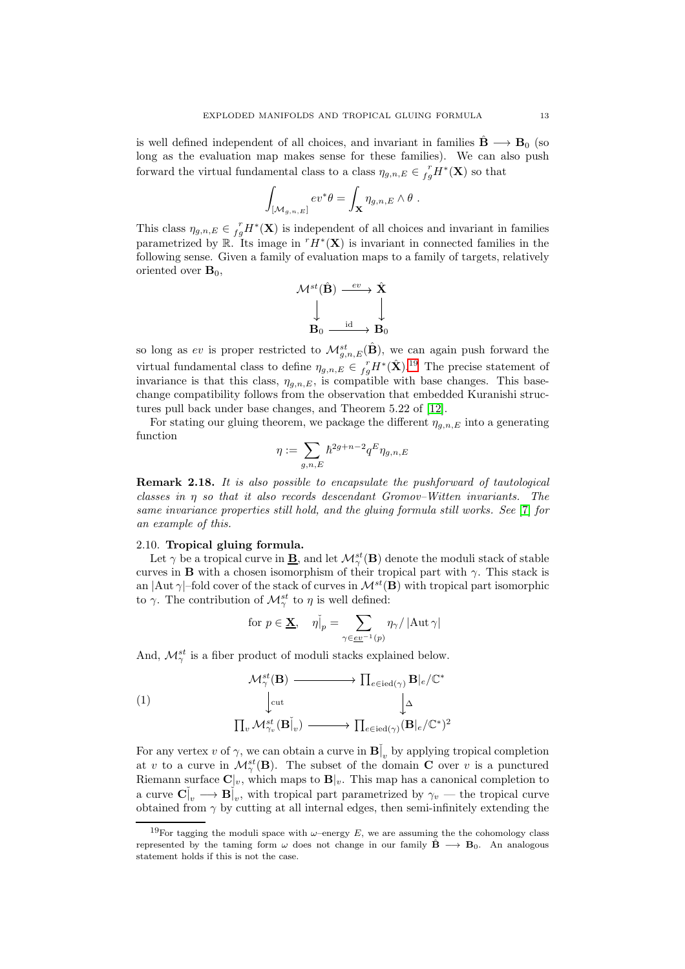is well defined independent of all choices, and invariant in families  $\ddot{\mathbf{B}} \longrightarrow \mathbf{B}_0$  (so long as the evaluation map makes sense for these families). We can also push forward the virtual fundamental class to a class  $\eta_{g,n,E} \in \frac{r}{fg}H^*(\mathbf{X})$  so that

$$
\int_{[\mathcal{M}_{g,n,E}]} ev^*\theta = \int_{\mathbf{X}} \eta_{g,n,E} \wedge \theta .
$$

This class  $\eta_{g,n,E} \in \frac{r}{fg}H^*(\mathbf{X})$  is independent of all choices and invariant in families parametrized by  $\mathbb{R}$ . Its image in  $^rH^*(\mathbf{X})$  is invariant in connected families in the following sense. Given a family of evaluation maps to a family of targets, relatively oriented over  $\mathbf{B}_0$ ,

$$
\begin{array}{ccc} \mathcal{M}^{st}(\hat{\mathbf{B}}) & \stackrel{ev}{\longrightarrow} \hat{\mathbf{X}} \\ & \downarrow & & \downarrow \\ \mathbf{B}_0 & \stackrel{\operatorname{id}}{\longrightarrow} \mathbf{B}_0 \end{array}
$$

so long as ev is proper restricted to  $\mathcal{M}_{g,n,E}^{st}(\hat{\mathbf{B}})$ , we can again push forward the virtual fundamental class to define  $\eta_{g,n,E} \in {}_{fg}^r H^*(\hat{\mathbf{X}}).^{19}$  $\eta_{g,n,E} \in {}_{fg}^r H^*(\hat{\mathbf{X}}).^{19}$  $\eta_{g,n,E} \in {}_{fg}^r H^*(\hat{\mathbf{X}}).^{19}$  The precise statement of invariance is that this class,  $\eta_{g,n,E}$ , is compatible with base changes. This basechange compatibility follows from the observation that embedded Kuranishi structures pull back under base changes, and Theorem 5.22 of [\[12\]](#page-16-5).

For stating our gluing theorem, we package the different  $\eta_{a,n,E}$  into a generating function

$$
\eta:=\sum_{g,n,E}\hbar^{2g+n-2}q^E\eta_{g,n,E}
$$

Remark 2.18. It is also possible to encapsulate the pushforward of tautological classes in  $\eta$  so that it also records descendant Gromov–Witten invariants. The same invariance properties still hold, and the gluing formula still works. See [\[7\]](#page-16-1) for an example of this.

#### <span id="page-12-0"></span>2.10. Tropical gluing formula.

Let  $\gamma$  be a tropical curve in  $\underline{\mathbf{B}}$ , and let  $\mathcal{M}^{st}_{\gamma}(\mathbf{B})$  denote the moduli stack of stable curves in **B** with a chosen isomorphism of their tropical part with  $\gamma$ . This stack is an  $|\text{Aut }\gamma|$ –fold cover of the stack of curves in  $\mathcal{M}^{st}(\mathbf{B})$  with tropical part isomorphic to  $\gamma$ . The contribution of  $\mathcal{M}^{st}_{\gamma}$  to  $\eta$  is well defined:

<span id="page-12-2"></span>
$$
\text{ for } p \in \underline{\mathbf{X}}, \quad \eta \check{\vert}_p = \sum_{\gamma \in \underline{ev}^{-1}(p)} \eta_\gamma / \left| \mathrm{Aut} \, \gamma \right|
$$

And,  $\mathcal{M}_{\gamma}^{st}$  is a fiber product of moduli stacks explained below.

(1)  
\n
$$
\begin{array}{ccc}\n& \mathcal{M}_{\gamma}^{st}(\mathbf{B}) & \longrightarrow & \prod_{e \in \text{ied}(\gamma)} \mathbf{B}|_{e}/\mathbb{C}^{*} \\
& \downarrow^{\text{cut}} & \downarrow^{\Delta} \\
& \prod_{v} \mathcal{M}_{\gamma_{v}}^{st}(\mathbf{B}|_{v}) & \longrightarrow & \prod_{e \in \text{ied}(\gamma)} (\mathbf{B}|_{e}/\mathbb{C}^{*})^{2}\n\end{array}
$$

For any vertex v of  $\gamma$ , we can obtain a curve in  $\mathbf{B}^{\dagger}_{v}$  by applying tropical completion at v to a curve in  $\mathcal{M}^{st}_{\gamma}(\mathbf{B})$ . The subset of the domain **C** over v is a punctured Riemann surface  $\mathbf{C}|v$ , which maps to  $\mathbf{B}|v$ . This map has a canonical completion to a curve  $\mathbf{C}^{\dagger}_{v} \longrightarrow \mathbf{B}^{\dagger}_{v}$ , with tropical part parametrized by  $\gamma_{v}$  — the tropical curve obtained from  $\gamma$  by cutting at all internal edges, then semi-infinitely extending the

<span id="page-12-1"></span><sup>&</sup>lt;sup>19</sup>For tagging the moduli space with  $\omega$ -energy E, we are assuming the the cohomology class represented by the taming form  $\omega$  does not change in our family  $\mathbf{B} \rightarrow \mathbf{B}_0$ . An analogous statement holds if this is not the case.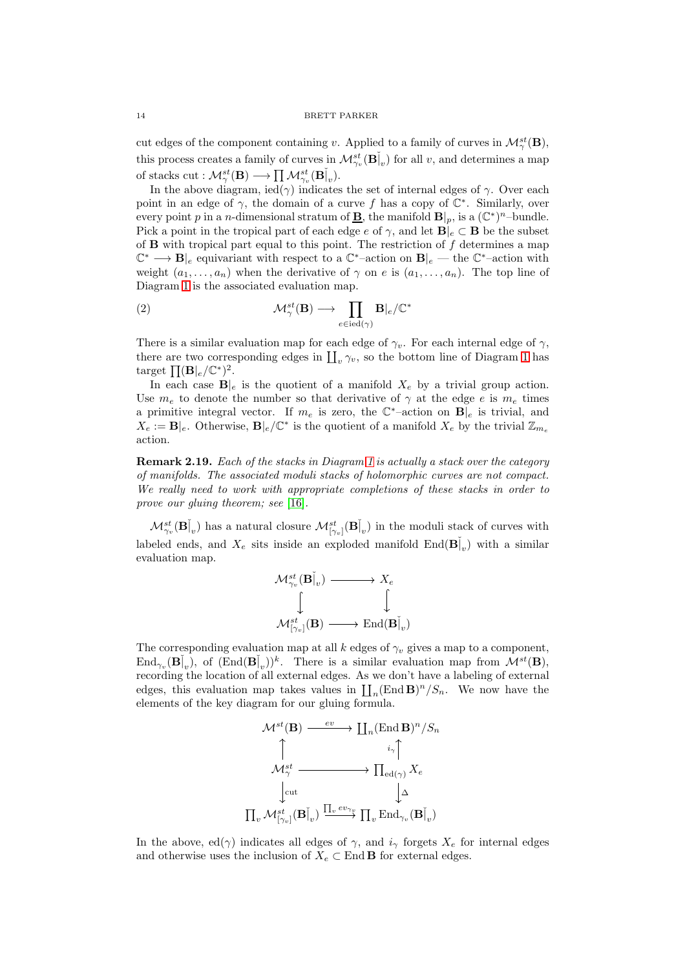cut edges of the component containing v. Applied to a family of curves in  $\mathcal{M}^{st}_{\gamma}(\mathbf{B}),$ this process creates a family of curves in  $\mathcal{M}^{st}_{\gamma_v}(\mathbf{B}\rvert_v)$  for all v, and determines a map of stacks  $\text{cut} : \mathcal{M}^{st}_{\gamma}(\mathbf{B}) \longrightarrow \prod \mathcal{M}^{st}_{\gamma_v}(\mathbf{B}\rvert_v).$ 

In the above diagram, ied( $\gamma$ ) indicates the set of internal edges of  $\gamma$ . Over each point in an edge of  $\gamma$ , the domain of a curve f has a copy of  $\mathbb{C}^*$ . Similarly, over every point p in a n-dimensional stratum of **B**, the manifold  $\mathbf{B}|_p$ , is a  $(\mathbb{C}^*)^n$ -bundle. Pick a point in the tropical part of each edge  $e$  of  $\gamma$ , and let  $B|_e \subset B$  be the subset of  $\bf{B}$  with tropical part equal to this point. The restriction of  $f$  determines a map  $\mathbb{C}^* \longrightarrow \mathbf{B}|_e$  equivariant with respect to a  $\mathbb{C}^*$ -action on  $\mathbf{B}|_e$  — the  $\mathbb{C}^*$ -action with weight  $(a_1, \ldots, a_n)$  when the derivative of  $\gamma$  on e is  $(a_1, \ldots, a_n)$ . The top line of Diagram [1](#page-12-2) is the associated evaluation map.

(2) 
$$
\mathcal{M}^{st}_{\gamma}(\mathbf{B}) \longrightarrow \prod_{e \in \text{ied}(\gamma)} \mathbf{B}|_{e}/\mathbb{C}^{*}
$$

There is a similar evaluation map for each edge of  $\gamma_v$ . For each internal edge of  $\gamma$ , there are two corresponding edges in  $\prod_{v} \gamma_{v}$ , so the bottom line of Diagram [1](#page-12-2) has target  $\prod (\mathbf{B}|_e/\mathbb{C}^*)^2$ .

In each case  $B|_e$  is the quotient of a manifold  $X_e$  by a trivial group action. Use  $m_e$  to denote the number so that derivative of  $\gamma$  at the edge e is  $m_e$  times a primitive integral vector. If  $m_e$  is zero, the  $\mathbb{C}^*$ -action on  $B|_e$  is trivial, and  $X_e := \mathbf{B}|_e$ . Otherwise,  $\mathbf{B}|_e/\mathbb{C}^*$  is the quotient of a manifold  $X_e$  by the trivial  $\mathbb{Z}_{m_e}$ action.

Remark 2.19. Each of the stacks in Diagram [1](#page-12-2) is actually a stack over the category of manifolds. The associated moduli stacks of holomorphic curves are not compact. We really need to work with appropriate completions of these stacks in order to prove our gluing theorem; see [\[16\]](#page-16-8).

 $\mathcal{M}^{st}_{\gamma_v}(\mathbf{B}^{\v})$  has a natural closure  $\mathcal{M}^{st}_{[\gamma_v]}(\mathbf{B}^{\v})$  in the moduli stack of curves with labeled ends, and  $X_e$  sits inside an exploded manifold  $\text{End}(\mathbf{B}|_v)$  with a similar evaluation map.

$$
\begin{array}{ccc}\n{\cal M}_{\gamma_{v}}^{st}({\bf B}\v]_{v}) & \longrightarrow {\cal X}_{e} \\
\int & & \downarrow \\
{\cal M}_{\left[\gamma_{v}\right]}^{st}({\bf B}) & \longrightarrow {\rm End}({\bf B}\v]_{v})\n\end{array}
$$

The corresponding evaluation map at all k edges of  $\gamma_v$  gives a map to a component,  $\text{End}_{\gamma_v}(\mathbf{B}^{\dagger}_v)$ , of  $(\text{End}(\mathbf{B}^{\dagger}_v))^k$ . There is a similar evaluation map from  $\mathcal{M}^{st}(\mathbf{B})$ , recording the location of all external edges. As we don't have a labeling of external edges, this evaluation map takes values in  $\prod_n (\text{End } \mathbf{B})^n / S_n$ . We now have the elements of the key diagram for our gluing formula.

$$
\begin{CD} \mathcal{M}^{st}(\mathbf{B}) @>ev>> \coprod_n (\operatorname{End} \mathbf{B})^n / S_n \\ \uparrow & & i_{\gamma} \uparrow \\ \mathcal{M}^{st}_{\gamma} @>>> \prod_{\operatorname{ed}(\gamma)} X_e \\ \downarrow & & \downarrow \Delta \\ \prod_v \mathcal{M}^{st}_{[\gamma_v]}(\mathbf{B}\v]_v) \xrightarrow{\prod_v ev_{\gamma_v}} \prod_v \operatorname{End}_{\gamma_v}(\mathbf{B}\v]_v) \end{CD}
$$

In the above, ed( $\gamma$ ) indicates all edges of  $\gamma$ , and  $i_{\gamma}$  forgets  $X_e$  for internal edges and otherwise uses the inclusion of  $X_e \subset$  End **B** for external edges.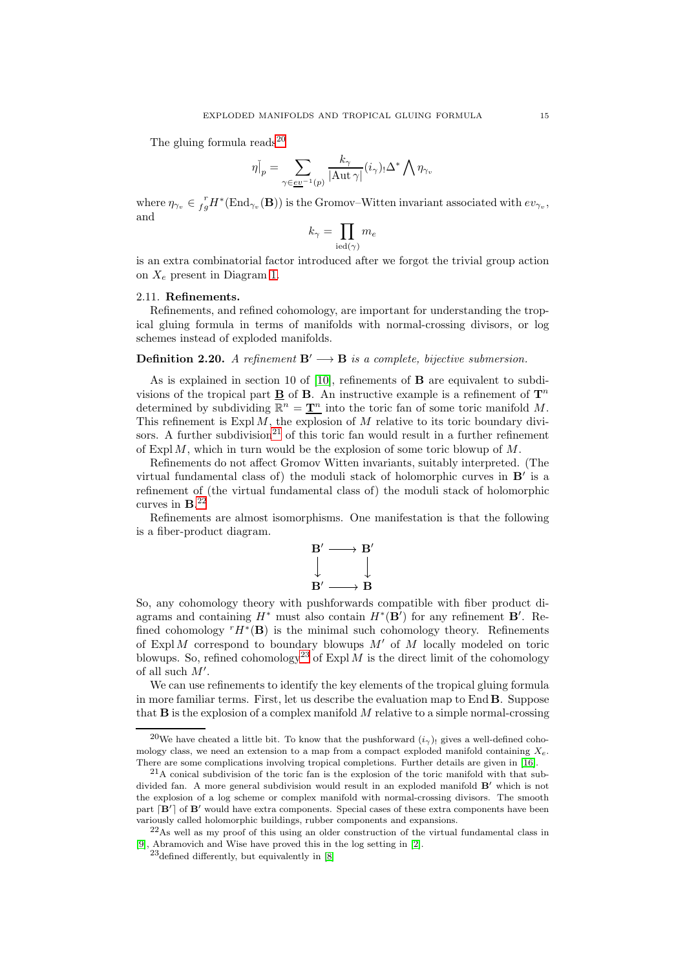The gluing formula reads $^{20}$  $^{20}$  $^{20}$ 

$$
\eta|_{p} = \sum_{\gamma \in \underline{ev}^{-1}(p)} \frac{k_{\gamma}}{|\mathrm{Aut} \,\gamma|} (i_{\gamma})_{!} \Delta^{*} \bigwedge \eta_{\gamma_{v}}
$$

where  $\eta_{\gamma_v} \in \frac{r}{fg}H^*(\text{End}_{\gamma_v}(\mathbf{B}))$  is the Gromov–Witten invariant associated with  $ev_{\gamma_v}$ , and

$$
k_\gamma = \prod_{\mathrm{ied}(\gamma)} m_e
$$

is an extra combinatorial factor introduced after we forgot the trivial group action on  $X_e$  present in Diagram [1.](#page-12-2)

### <span id="page-14-0"></span>2.11. Refinements.

Refinements, and refined cohomology, are important for understanding the tropical gluing formula in terms of manifolds with normal-crossing divisors, or log schemes instead of exploded manifolds.

## Definition 2.20. A refinement  $B' \longrightarrow B$  is a complete, bijective submersion.

As is explained in section 10 of  $[10]$ , refinements of **B** are equivalent to subdivisions of the tropical part  $\underline{\mathbf{B}}$  of  $\mathbf{B}$ . An instructive example is a refinement of  $\mathbf{T}^n$ determined by subdividing  $\mathbb{R}^n = \underline{\mathbf{T}^n}$  into the toric fan of some toric manifold M. This refinement is  $\text{Expl }M$ , the explosion of M relative to its toric boundary divi-sors. A further subdivision<sup>[21](#page-14-2)</sup> of this toric fan would result in a further refinement of Expl  $M$ , which in turn would be the explosion of some toric blowup of  $M$ .

Refinements do not affect Gromov Witten invariants, suitably interpreted. (The virtual fundamental class of) the moduli stack of holomorphic curves in  $B'$  is a refinement of (the virtual fundamental class of) the moduli stack of holomorphic curves in  $\mathbf{B}^{22}$  $\mathbf{B}^{22}$  $\mathbf{B}^{22}$ 

Refinements are almost isomorphisms. One manifestation is that the following is a fiber-product diagram.



So, any cohomology theory with pushforwards compatible with fiber product diagrams and containing  $H^*$  must also contain  $H^*(\mathbf{B}')$  for any refinement  $\mathbf{B}'$ . Refined cohomology  $^rH^*(\mathbf{B})$  is the minimal such cohomology theory. Refinements of  $ExplM$  correspond to boundary blowups  $M'$  of M locally modeled on toric blowups. So, refined cohomology<sup>[23](#page-14-4)</sup> of Expl M is the direct limit of the cohomology of all such  $M'$ .

We can use refinements to identify the key elements of the tropical gluing formula in more familiar terms. First, let us describe the evaluation map to End B. Suppose that  $\bf{B}$  is the explosion of a complex manifold M relative to a simple normal-crossing

<span id="page-14-1"></span><sup>&</sup>lt;sup>20</sup>We have cheated a little bit. To know that the pushforward  $(i<sub>\gamma</sub>)$ , gives a well-defined cohomology class, we need an extension to a map from a compact exploded manifold containing  $X_e$ . There are some complications involving tropical completions. Further details are given in [\[16\]](#page-16-8).

<span id="page-14-2"></span><sup>21</sup>A conical subdivision of the toric fan is the explosion of the toric manifold with that subdivided fan. A more general subdivision would result in an exploded manifold B′ which is not the explosion of a log scheme or complex manifold with normal-crossing divisors. The smooth part [B'] of B' would have extra components. Special cases of these extra components have been variously called holomorphic buildings, rubber components and expansions.

 $22\text{As}$  well as my proof of this using an older construction of the virtual fundamental class in [\[9\]](#page-16-9), Abramovich and Wise have proved this in the log setting in [\[2\]](#page-15-6).

<span id="page-14-4"></span><span id="page-14-3"></span> $23$ defined differently, but equivalently in  $[8]$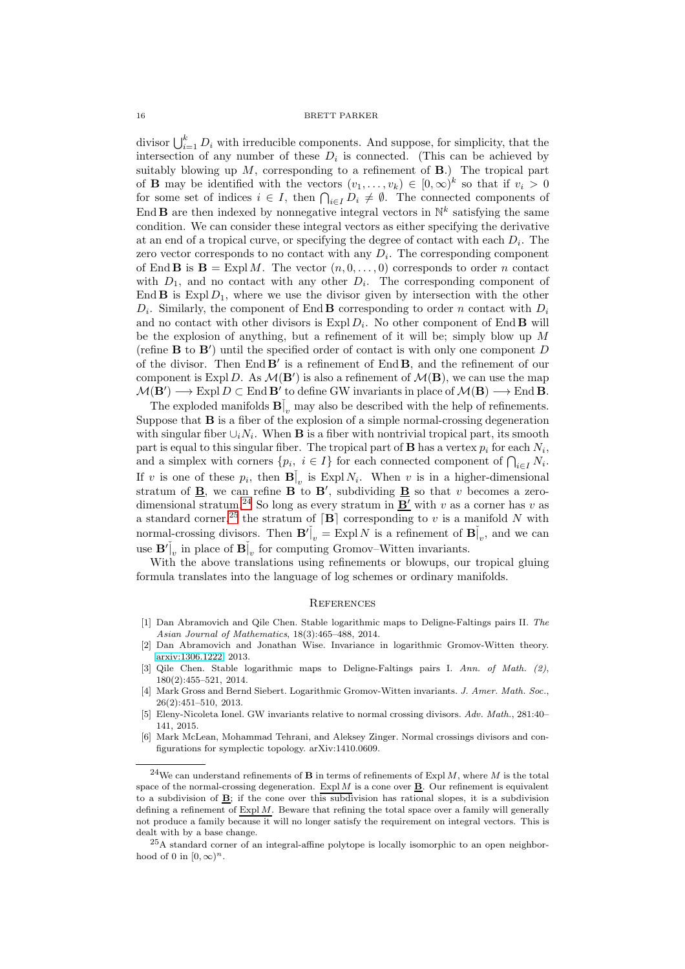divisor  $\bigcup_{i=1}^k D_i$  with irreducible components. And suppose, for simplicity, that the intersection of any number of these  $D_i$  is connected. (This can be achieved by suitably blowing up  $M$ , corresponding to a refinement of  $B$ .) The tropical part of **B** may be identified with the vectors  $(v_1, \ldots, v_k) \in [0, \infty)^k$  so that if  $v_i > 0$ for some set of indices  $i \in I$ , then  $\bigcap_{i \in I} D_i \neq \emptyset$ . The connected components of End **B** are then indexed by nonnegative integral vectors in  $\mathbb{N}^k$  satisfying the same condition. We can consider these integral vectors as either specifying the derivative at an end of a tropical curve, or specifying the degree of contact with each  $D_i$ . The zero vector corresponds to no contact with any  $D_i$ . The corresponding component of End **B** is  $\mathbf{B} = \text{Expl } M$ . The vector  $(n, 0, \ldots, 0)$  corresponds to order *n* contact with  $D_1$ , and no contact with any other  $D_i$ . The corresponding component of End  $\bf{B}$  is Expl  $D_1$ , where we use the divisor given by intersection with the other  $D_i$ . Similarly, the component of End **B** corresponding to order n contact with  $D_i$ and no contact with other divisors is  $\text{Expl } D_i$ . No other component of  $\text{End } \mathbf{B}$  will be the explosion of anything, but a refinement of it will be; simply blow up  $M$ (refine B to B′ ) until the specified order of contact is with only one component D of the divisor. Then  $\text{End }B'$  is a refinement of  $\text{End }B$ , and the refinement of our component is Expl D. As  $\mathcal{M}(\mathbf{B}')$  is also a refinement of  $\mathcal{M}(\mathbf{B})$ , we can use the map  $\mathcal{M}(\mathbf{B}') \longrightarrow \text{Expl } D \subset \text{End } \mathbf{B}'$  to define GW invariants in place of  $\mathcal{M}(\mathbf{B}) \longrightarrow \text{End } \mathbf{B}$ .

The exploded manifolds  $\mathbf{B}^{\check{}}|_v$  may also be described with the help of refinements. Suppose that B is a fiber of the explosion of a simple normal-crossing degeneration with singular fiber  $\cup_i N_i$ . When **B** is a fiber with nontrivial tropical part, its smooth part is equal to this singular fiber. The tropical part of **B** has a vertex  $p_i$  for each  $N_i$ , and a simplex with corners  $\{p_i, i \in I\}$  for each connected component of  $\bigcap_{i \in I} N_i$ . If v is one of these  $p_i$ , then  $\mathbf{B}^{\dagger}_{|v}$  is Expl  $N_i$ . When v is in a higher-dimensional stratum of  $\underline{\mathbf{B}}$ , we can refine  $\mathbf{B}$  to  $\mathbf{B}'$ , subdividing  $\underline{\mathbf{B}}$  so that v becomes a zero-dimensional stratum.<sup>[24](#page-15-7)</sup> So long as every stratum in  $\underline{\mathbf{B}'}$  with v as a corner has v as a standard corner,<sup>[25](#page-15-8)</sup> the stratum of  $[\mathbf{B}]$  corresponding to v is a manifold N with normal-crossing divisors. Then  $\mathbf{B}'|_{v} = \text{Expl} N$  is a refinement of  $\mathbf{B}|_{v}$ , and we can use  $\mathbf{B}'|_v$  in place of  $\mathbf{B}|_v$  for computing Gromov–Witten invariants.

With the above translations using refinements or blowups, our tropical gluing formula translates into the language of log schemes or ordinary manifolds.

#### <span id="page-15-0"></span>**REFERENCES**

- <span id="page-15-3"></span>[1] Dan Abramovich and Qile Chen. Stable logarithmic maps to Deligne-Faltings pairs II. The Asian Journal of Mathematics, 18(3):465–488, 2014.
- <span id="page-15-6"></span>[2] Dan Abramovich and Jonathan Wise. Invariance in logarithmic Gromov-Witten theory. [arxiv:1306.1222,](http://arxiv.org/abs/1306.1222) 2013.
- <span id="page-15-2"></span>[3] Qile Chen. Stable logarithmic maps to Deligne-Faltings pairs I. Ann. of Math. (2), 180(2):455–521, 2014.
- <span id="page-15-1"></span>[4] Mark Gross and Bernd Siebert. Logarithmic Gromov-Witten invariants. J. Amer. Math. Soc., 26(2):451–510, 2013.
- <span id="page-15-4"></span>[5] Eleny-Nicoleta Ionel. GW invariants relative to normal crossing divisors. Adv. Math., 281:40– 141, 2015.
- <span id="page-15-5"></span>[6] Mark McLean, Mohammad Tehrani, and Aleksey Zinger. Normal crossings divisors and configurations for symplectic topology. arXiv:1410.0609.

<span id="page-15-7"></span><sup>&</sup>lt;sup>24</sup>We can understand refinements of **B** in terms of refinements of Expl M, where M is the total space of the normal-crossing degeneration. Expl  $M$  is a cone over  $\underline{\mathbf{B}}$ . Our refinement is equivalent to a subdivision of  $\mathbf{B}$ ; if the cone over this subdivision has rational slopes, it is a subdivision defining a refinement of  $\mathrm{Expl} M$ . Beware that refining the total space over a family will generally not produce a family because it will no longer satisfy the requirement on integral vectors. This is dealt with by a base change.

<span id="page-15-8"></span> $^{25}$ A standard corner of an integral-affine polytope is locally isomorphic to an open neighborhood of 0 in  $[0, \infty)^n$ .